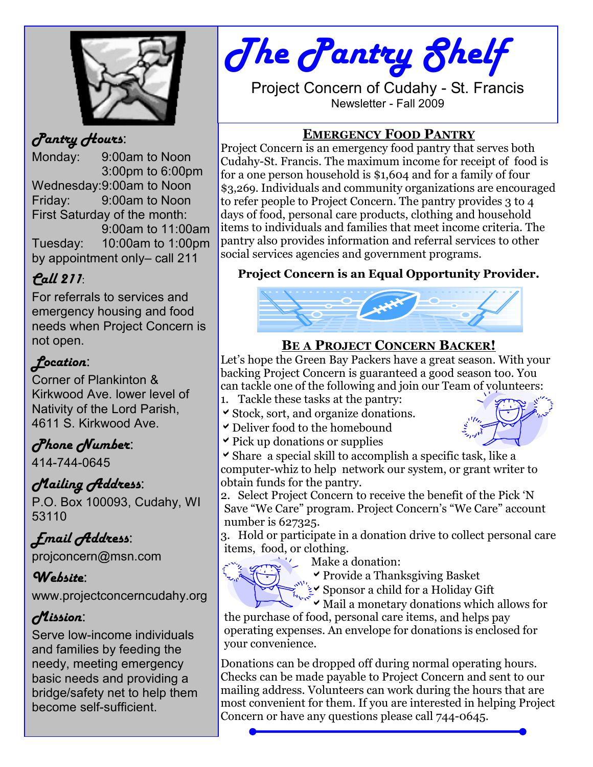

## Pantry Hours:

Monday: 9:00am to Noon 3:00pm to 6:00pm Wednesday:9:00am to Noon Friday: 9:00am to Noon First Saturday of the month: 9:00am to 11:00am Tuesday: 10:00am to 1:00pm by appointment only– call 211

# Call 211:

For referrals to services and emergency housing and food needs when Project Concern is not open.

# Location:

Corner of Plankinton & Kirkwood Ave. lower level of Nativity of the Lord Parish, 4611 S. Kirkwood Ave.

# Phone Number:

414-744-0645

# Mailing Address:

P.O. Box 100093, Cudahy, WI 53110

# Email Address:

projconcern@msn.com

## Website:

www.projectconcerncudahy.org

## Mission:

Serve low-income individuals and families by feeding the needy, meeting emergency basic needs and providing a bridge/safety net to help them become self-sufficient.

# The Pantry Shelf

Project Concern of Cudahy - St. Francis Newsletter - Fall 2009

#### EMERGENCY FOOD PANTRY

Project Concern is an emergency food pantry that serves both Cudahy-St. Francis. The maximum income for receipt of food is for a one person household is \$1,604 and for a family of four \$3,269. Individuals and community organizations are encouraged to refer people to Project Concern. The pantry provides 3 to 4 days of food, personal care products, clothing and household items to individuals and families that meet income criteria. The pantry also provides information and referral services to other social services agencies and government programs.

#### Project Concern is an Equal Opportunity Provider.



## **BE A PROJECT CONCERN BACKER!**

Let's hope the Green Bay Packers have a great season. With your backing Project Concern is guaranteed a good season too. You can tackle one of the following and join our Team of volunteers:

- 1. Tackle these tasks at the pantry:
- $\triangleright$  Stock, sort, and organize donations.
- $\triangleright$  Deliver food to the homebound
- $\triangleright$  Pick up donations or supplies



 $\checkmark$  Share a special skill to accomplish a specific task, like a computer-whiz to help network our system, or grant writer to obtain funds for the pantry.

2. Select Project Concern to receive the benefit of the Pick 'N Save "We Care" program. Project Concern's "We Care" account number is 627325.

3. Hold or participate in a donation drive to collect personal care items, food, or clothing.



Make a donation:

 $\triangledown$  Provide a Thanksgiving Basket

 $\sum_{k=1}^{\infty}$  Sponsor a child for a Holiday Gift

 $\sum_{i_1, \ldots, i_n}$  Sponsor a comparison and  $\alpha$  and  $\alpha$  and  $\alpha$  and  $\alpha$  and  $\alpha$  and  $\alpha$  and  $\alpha$  and  $\alpha$  and  $\alpha$  and  $\alpha$  and  $\alpha$  and  $\alpha$  and  $\alpha$  and  $\alpha$  and  $\alpha$  and  $\alpha$  and  $\alpha$  and  $\alpha$  and  $\alpha$  and  $\alpha$  and the purchase of food, personal care items, and helps pay

operating expenses. An envelope for donations is enclosed for your convenience.

Donations can be dropped off during normal operating hours. Checks can be made payable to Project Concern and sent to our mailing address. Volunteers can work during the hours that are most convenient for them. If you are interested in helping Project Concern or have any questions please call 744-0645.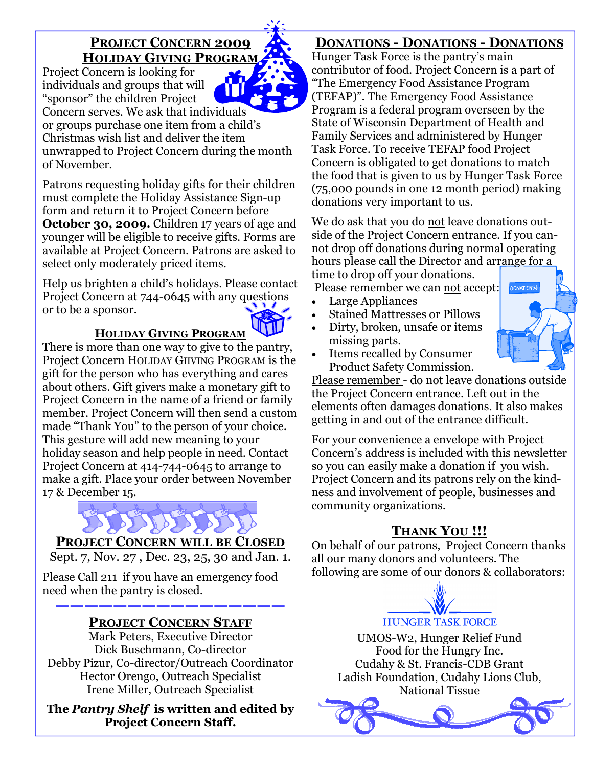#### PROJECT CONCERN 2009 HOLIDAY GIVING PROGRAM Project Concern is looking for

individuals and groups that will IΤ "sponsor" the children Project

Concern serves. We ask that individuals or groups purchase one item from a child's Christmas wish list and deliver the item unwrapped to Project Concern during the month of November.

Patrons requesting holiday gifts for their children must complete the Holiday Assistance Sign-up form and return it to Project Concern before October 30, 2009. Children 17 years of age and younger will be eligible to receive gifts. Forms are available at Project Concern. Patrons are asked to select only moderately priced items.

Help us brighten a child's holidays. Please contact Project Concern at 744-0645 with any questions or to be a sponsor.

#### HOLIDAY GIVING PROGRAM

There is more than one way to give to the pantry, Project Concern HOLIDAY GIIVING PROGRAM is the gift for the person who has everything and cares about others. Gift givers make a monetary gift to Project Concern in the name of a friend or family member. Project Concern will then send a custom made "Thank You" to the person of your choice. This gesture will add new meaning to your holiday season and help people in need. Contact Project Concern at 414-744-0645 to arrange to make a gift. Place your order between November 17 & December 15.



#### PROJECT CONCERN WILL BE CLOSED

Sept. 7, Nov. 27 , Dec. 23, 25, 30 and Jan. 1.

Please Call 211 if you have an emergency food need when the pantry is closed.

#### ———————————————— PROJECT CONCERN STAFF

Mark Peters, Executive Director Dick Buschmann, Co-director Debby Pizur, Co-director/Outreach Coordinator Hector Orengo, Outreach Specialist Irene Miller, Outreach Specialist

The Pantry Shelf is written and edited by Project Concern Staff.

#### DONATIONS - DONATIONS - DONATIONS

Hunger Task Force is the pantry's main contributor of food. Project Concern is a part of "The Emergency Food Assistance Program (TEFAP)". The Emergency Food Assistance Program is a federal program overseen by the State of Wisconsin Department of Health and Family Services and administered by Hunger Task Force. To receive TEFAP food Project Concern is obligated to get donations to match the food that is given to us by Hunger Task Force (75,000 pounds in one 12 month period) making donations very important to us.

We do ask that you do not leave donations outside of the Project Concern entrance. If you cannot drop off donations during normal operating hours please call the Director and arrange for a time to drop off your donations.

Please remember we can not accept:

- Large Appliances
	- Stained Mattresses or Pillows
- Dirty, broken, unsafe or items missing parts.



• Items recalled by Consumer Product Safety Commission.

Please remember - do not leave donations outside the Project Concern entrance. Left out in the elements often damages donations. It also makes getting in and out of the entrance difficult.

For your convenience a envelope with Project Concern's address is included with this newsletter so you can easily make a donation if you wish. Project Concern and its patrons rely on the kindness and involvement of people, businesses and community organizations.

## **THANK YOU !!!**

On behalf of our patrons, Project Concern thanks all our many donors and volunteers. The following are some of our donors & collaborators:

# **HUNGER TASK FORCE**

UMOS-W2, Hunger Relief Fund Food for the Hungry Inc. Cudahy & St. Francis-CDB Grant Ladish Foundation, Cudahy Lions Club, National Tissue

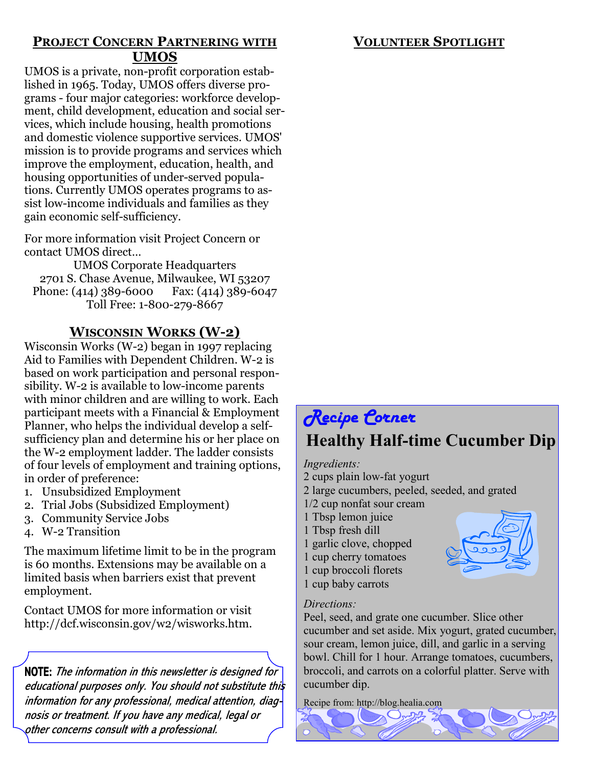#### VOLUNTEER SPOTLIGHT

#### PROJECT CONCERN PARTNERING WITH UMOS

UMOS is a private, non-profit corporation established in 1965. Today, UMOS offers diverse programs - four major categories: workforce development, child development, education and social services, which include housing, health promotions and domestic violence supportive services. UMOS' mission is to provide programs and services which improve the employment, education, health, and housing opportunities of under-served populations. Currently UMOS operates programs to assist low-income individuals and families as they gain economic self-sufficiency.

For more information visit Project Concern or contact UMOS direct…

UMOS Corporate Headquarters 2701 S. Chase Avenue, Milwaukee, WI 53207 Phone: (414) 389-6000 Fax: (414) 389-6047 Toll Free: 1-800-279-8667

#### WISCONSIN WORKS (W-2)

Wisconsin Works (W-2) began in 1997 replacing Aid to Families with Dependent Children. W-2 is based on work participation and personal responsibility. W-2 is available to low-income parents with minor children and are willing to work. Each participant meets with a Financial & Employment Planner, who helps the individual develop a selfsufficiency plan and determine his or her place on the W-2 employment ladder. The ladder consists of four levels of employment and training options, in order of preference:

- 1. Unsubsidized Employment
- 2. Trial Jobs (Subsidized Employment)
- 3. Community Service Jobs
- 4. W-2 Transition

The maximum lifetime limit to be in the program is 60 months. Extensions may be available on a limited basis when barriers exist that prevent employment.

Contact UMOS for more information or visit http://dcf.wisconsin.gov/w2/wisworks.htm.

 $\overline{\phantom{a}}$ NOTE: The information in this newsletter is designed for educational purposes only. You should not substitute this information for any professional, medical attention, diagnosis or treatment. If you have any medical, legal or other concerns consult with a professional.

# Recipe Corner Healthy Half-time Cucumber Dip

#### Ingredients:

- 2 cups plain low-fat yogurt
- 2 large cucumbers, peeled, seeded, and grated
- 1/2 cup nonfat sour cream
- 1 Tbsp lemon juice
- 1 Tbsp fresh dill

1 garlic clove, chopped 1 cup cherry tomatoes 1 cup broccoli florets 1 cup baby carrots



#### Directions:

Peel, seed, and grate one cucumber. Slice other cucumber and set aside. Mix yogurt, grated cucumber, sour cream, lemon juice, dill, and garlic in a serving bowl. Chill for 1 hour. Arrange tomatoes, cucumbers, broccoli, and carrots on a colorful platter. Serve with cucumber dip.

Recipe from: http://blog.healia.com